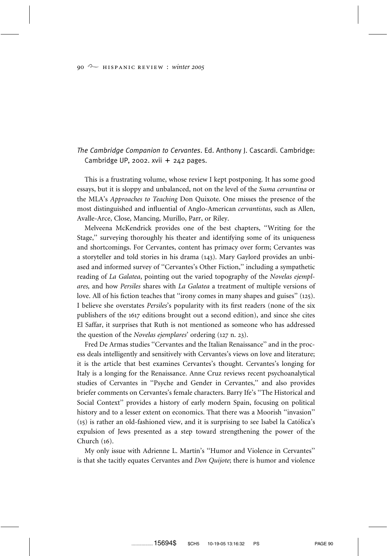## *The Cambridge Companion to Cervantes*. Ed. Anthony J. Cascardi. Cambridge: Cambridge UP, 2002. xvii  $+$  242 pages.

This is a frustrating volume, whose review I kept postponing. It has some good essays, but it is sloppy and unbalanced, not on the level of the *Suma cervantina* or the MLA's *Approaches to Teaching* Don Quixote. One misses the presence of the most distinguished and influential of Anglo-American *cervantistas*, such as Allen, Avalle-Arce, Close, Mancing, Murillo, Parr, or Riley.

Melveena McKendrick provides one of the best chapters, ''Writing for the Stage,'' surveying thoroughly his theater and identifying some of its uniqueness and shortcomings. For Cervantes, content has primacy over form; Cervantes was a storyteller and told stories in his drama (143). Mary Gaylord provides an unbiased and informed survey of ''Cervantes's Other Fiction,'' including a sympathetic reading of *La Galatea*, pointing out the varied topography of the *Novelas ejemplares,* and how *Persiles* shares with *La Galatea* a treatment of multiple versions of love. All of his fiction teaches that ''irony comes in many shapes and guises'' (125). I believe she overstates *Persiles*'s popularity with its first readers (none of the six publishers of the 1617 editions brought out a second edition), and since she cites El Saffar, it surprises that Ruth is not mentioned as someone who has addressed the question of the *Novelas ejemplares*' ordering (127 n. 23).

Fred De Armas studies ''Cervantes and the Italian Renaissance'' and in the process deals intelligently and sensitively with Cervantes's views on love and literature; it is the article that best examines Cervantes's thought. Cervantes's longing for Italy is a longing for the Renaissance. Anne Cruz reviews recent psychoanalytical studies of Cervantes in ''Psyche and Gender in Cervantes,'' and also provides briefer comments on Cervantes's female characters. Barry Ife's ''The Historical and Social Context'' provides a history of early modern Spain, focusing on political history and to a lesser extent on economics. That there was a Moorish ''invasion''  $(15)$  is rather an old-fashioned view, and it is surprising to see Isabel la Católica's expulsion of Jews presented as a step toward strengthening the power of the Church (16).

My only issue with Adrienne L. Martín's "Humor and Violence in Cervantes" is that she tacitly equates Cervantes and *Don Quijote*; there is humor and violence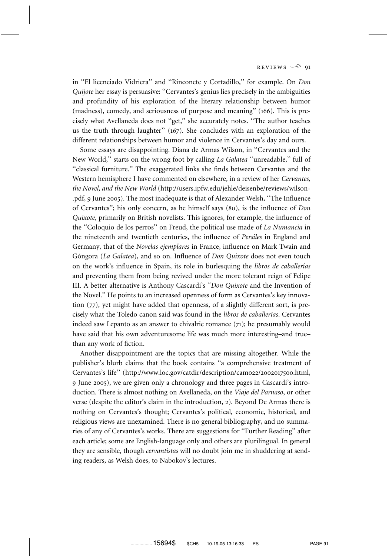in ''El licenciado Vidriera'' and ''Rinconete y Cortadillo,'' for example. On *Don Quijote* her essay is persuasive: ''Cervantes's genius lies precisely in the ambiguities and profundity of his exploration of the literary relationship between humor (madness), comedy, and seriousness of purpose and meaning'' (166). This is precisely what Avellaneda does not ''get,'' she accurately notes. ''The author teaches us the truth through laughter'' (167). She concludes with an exploration of the different relationships between humor and violence in Cervantes's day and ours.

Some essays are disappointing. Diana de Armas Wilson, in ''Cervantes and the New World,'' starts on the wrong foot by calling *La Galatea* ''unreadable,'' full of ''classical furniture.'' The exaggerated links she finds between Cervantes and the Western hemisphere I have commented on elsewhere, in a review of her *Cervantes, the Novel, and the New World* (http://users.ipfw.edu/jehle/deisenbe/reviews/wilson- .pdf, 9 June 2005). The most inadequate is that of Alexander Welsh, ''The Influence of Cervantes''; his only concern, as he himself says (80), is the influence of *Don Quixote,* primarily on British novelists. This ignores, for example, the influence of the ''Coloquio de los perros'' on Freud, the political use made of *La Numancia* in the nineteenth and twentieth centuries, the influence of *Persiles* in England and Germany, that of the *Novelas ejemplares* in France, influence on Mark Twain and Góngora (*La Galatea*), and so on. Influence of *Don Quixote* does not even touch on the work's influence in Spain, its role in burlesquing the *libros de caballerı´as* and preventing them from being revived under the more tolerant reign of Felipe III. A better alternative is Anthony Cascardi's ''*Don Quixote* and the Invention of the Novel.'' He points to an increased openness of form as Cervantes's key innovation (77), yet might have added that openness, of a slightly different sort, is precisely what the Toledo canon said was found in the *libros de caballerı´as*. Cervantes indeed saw Lepanto as an answer to chivalric romance (71); he presumably would have said that his own adventuresome life was much more interesting–and true– than any work of fiction.

Another disappointment are the topics that are missing altogether. While the publisher's blurb claims that the book contains ''a comprehensive treatment of Cervantes's life'' (http://www.loc.gov/catdir/description/cam022/2002017500.html, 9 June 2005), we are given only a chronology and three pages in Cascardi's introduction. There is almost nothing on Avellaneda, on the *Viaje del Parnaso*, or other verse (despite the editor's claim in the introduction, 2). Beyond De Armas there is nothing on Cervantes's thought; Cervantes's political, economic, historical, and religious views are unexamined. There is no general bibliography, and no summaries of any of Cervantes's works. There are suggestions for ''Further Reading'' after each article; some are English-language only and others are plurilingual. In general they are sensible, though *cervantistas* will no doubt join me in shuddering at sending readers, as Welsh does, to Nabokov's lectures.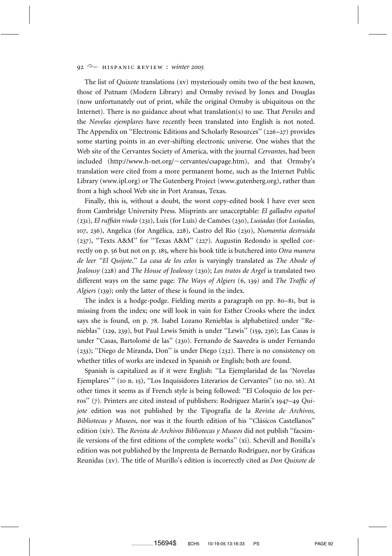## 92 <sup>2</sup> HISPANIC REVIEW : *winter* 2005

The list of *Quixote* translations (xv) mysteriously omits two of the best known, those of Putnam (Modern Library) and Ormsby revised by Jones and Douglas (now unfortunately out of print, while the original Ormsby is ubiquitous on the Internet). There is no guidance about what translation(s) to use. That *Persiles* and the *Novelas ejemplares* have recently been translated into English is not noted. The Appendix on ''Electronic Editions and Scholarly Resources'' (226–27) provides some starting points in an ever-shifting electronic universe. One wishes that the Web site of the Cervantes Society of America, with the journal *Cervantes*, had been included (http://www.h-net.org/ $\sim$ cervantes/csapage.htm), and that Ormsby's translation were cited from a more permanent home, such as the Internet Public Library (www.ipl.org) or The Gutenberg Project (www.gutenberg.org), rather than from a high school Web site in Port Aransas, Texas.

Finally, this is, without a doubt, the worst copy-edited book I have ever seen from Cambridge University Press. Misprints are unacceptable: *El galladro español* (231), *El ruffia´n viudo* (231), Luis (for Luı´s) de Camo˜es (230), *Lusiadas* (for *Lusı´adas,* 107, 236), Angelica (for Angélica, 228), Castro del Rio (230), *Numantia destruida* (237), ''Texts A&M'' for ''Texas A&M'' (227). Augustin Redondo is spelled correctly on p. 56 but not on p. 185, where his book title is butchered into *Otra manera de leer ''El Quijote*.'' *La casa de los celos* is varyingly translated as *The Abode of Jealousy* (228) and *The House of Jealousy* (230); *Los tratos de Argel* is translated two different ways on the same page: *The Ways of Algiers* (6, 139) and *The Traffic of Algiers* (139); only the latter of these is found in the index.

The index is a hodge-podge. Fielding merits a paragraph on pp. 80–81, but is missing from the index; one will look in vain for Esther Crooks where the index says she is found, on p. 78. Isabel Lozano Renieblas is alphabetized under ''Renieblas'' (129, 239), but Paul Lewis Smith is under ''Lewis'' (159, 236); Las Casas is under "Casas, Bartolomé de las" (230). Fernando de Saavedra is under Fernando (233); ''Diego de Miranda, Don'' is under Diego (232). There is no consistency on whether titles of works are indexed in Spanish or English; both are found.

Spanish is capitalized as if it were English: ''La Ejemplaridad de las 'Novelas Ejemplares'" (10 n. 15), "Los Inquisidores Literarios de Cervantes" (10 no. 16). At other times it seems as if French style is being followed: ''El Coloquio de los perros" (7). Printers are cited instead of publishers: Rodríguez Marín's 1947–49 *Quijote* edition was not published by the Tipografía de la *Revista de Archivos*, *Bibliotecas y Museos*, nor was it the fourth edition of his "Clásicos Castellanos" edition (xiv). The *Revista de Archivos Bibliotecas y Museos* did not publish ''facsimile versions of the first editions of the complete works'' (xi). Schevill and Bonilla's edition was not published by the Imprenta de Bernardo Rodríguez, nor by Gráficas Reunidas (xv). The title of Murillo's edition is incorrectly cited as *Don Quixote de*